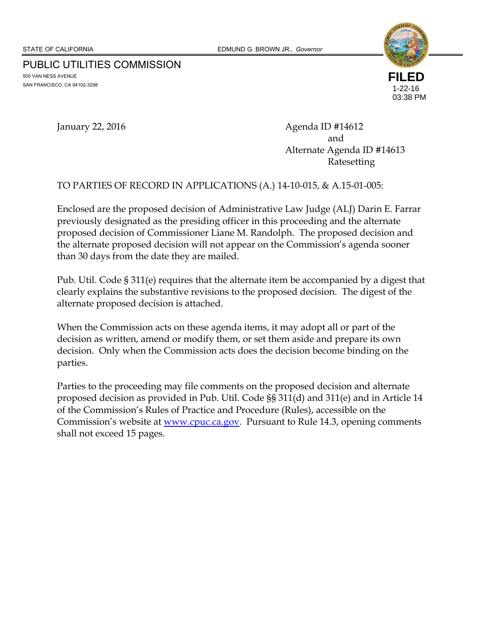PUBLIC UTILITIES COMMISSION 505 VAN NESS AVENUE SAN FRANCISCO, CA 94102-3298



January 22, 2016 **Agenda ID #14612** and and the contract of the contract of the contract of the contract of the contract of the contract of the contract of the contract of the contract of the contract of the contract of the contract of the contract of the co Alternate Agenda ID #14613 Ratesetting

#### TO PARTIES OF RECORD IN APPLICATIONS (A.) 14-10-015, & A.15-01-005:

Enclosed are the proposed decision of Administrative Law Judge (ALJ) Darin E. Farrar previously designated as the presiding officer in this proceeding and the alternate proposed decision of Commissioner Liane M. Randolph. The proposed decision and the alternate proposed decision will not appear on the Commission's agenda sooner than 30 days from the date they are mailed.

Pub. Util. Code § 311(e) requires that the alternate item be accompanied by a digest that clearly explains the substantive revisions to the proposed decision. The digest of the alternate proposed decision is attached.

When the Commission acts on these agenda items, it may adopt all or part of the decision as written, amend or modify them, or set them aside and prepare its own decision. Only when the Commission acts does the decision become binding on the parties.

Parties to the proceeding may file comments on the proposed decision and alternate proposed decision as provided in Pub. Util. Code §§ 311(d) and 311(e) and in Article 14 of the Commission's Rules of Practice and Procedure (Rules), accessible on the Commission's website at <u>www.cpuc.ca.gov</u>. Pursuant to Rule 14.3, opening comments shall not exceed 15 pages.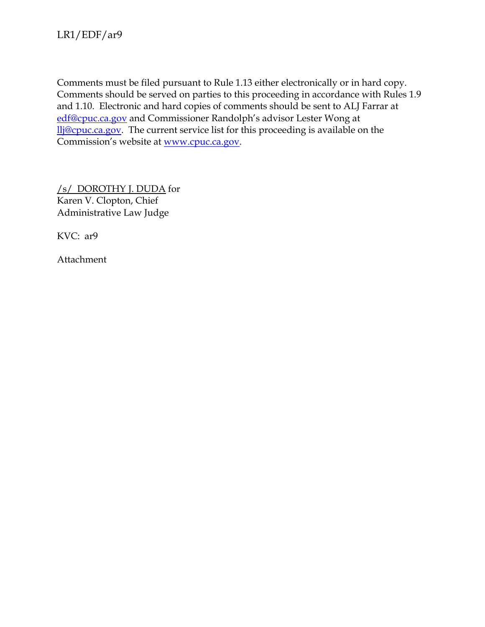Comments must be filed pursuant to Rule 1.13 either electronically or in hard copy. Comments should be served on parties to this proceeding in accordance with Rules 1.9 and 1.10. Electronic and hard copies of comments should be sent to ALJ Farrar at edf@cpuc.ca.gov and Commissioner Randolph's advisor Lester Wong at llj@cpuc.ca.gov. The current service list for this proceeding is available on the Commission's website at www.cpuc.ca.gov.

/s/ DOROTHY J. DUDA for Karen V. Clopton, Chief Administrative Law Judge

KVC: ar9

Attachment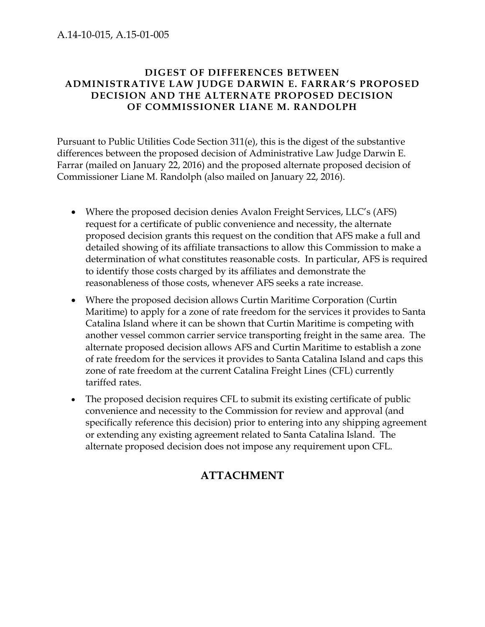#### A.14-10-015, A.15-01-005

#### **DIGEST OF DIFFERENCES BETWEEN ADMINISTRATIVE LAW JUDGE DARWIN E. FARRAR'S PROPOSED DECISION AND THE ALTERNATE PROPOSED DECISION OF COMMISSIONER LIANE M. RANDOLPH**

Pursuant to Public Utilities Code Section 311(e), this is the digest of the substantive differences between the proposed decision of Administrative Law Judge Darwin E. Farrar (mailed on January 22, 2016) and the proposed alternate proposed decision of Commissioner Liane M. Randolph (also mailed on January 22, 2016).

- Where the proposed decision denies Avalon Freight Services, LLC's (AFS) request for a certificate of public convenience and necessity, the alternate proposed decision grants this request on the condition that AFS make a full and detailed showing of its affiliate transactions to allow this Commission to make a determination of what constitutes reasonable costs. In particular, AFS is required to identify those costs charged by its affiliates and demonstrate the reasonableness of those costs, whenever AFS seeks a rate increase.
- Where the proposed decision allows Curtin Maritime Corporation (Curtin Maritime) to apply for a zone of rate freedom for the services it provides to Santa Catalina Island where it can be shown that Curtin Maritime is competing with another vessel common carrier service transporting freight in the same area. The alternate proposed decision allows AFS and Curtin Maritime to establish a zone of rate freedom for the services it provides to Santa Catalina Island and caps this zone of rate freedom at the current Catalina Freight Lines (CFL) currently tariffed rates.
- The proposed decision requires CFL to submit its existing certificate of public convenience and necessity to the Commission for review and approval (and specifically reference this decision) prior to entering into any shipping agreement or extending any existing agreement related to Santa Catalina Island. The alternate proposed decision does not impose any requirement upon CFL.

# **ATTACHMENT**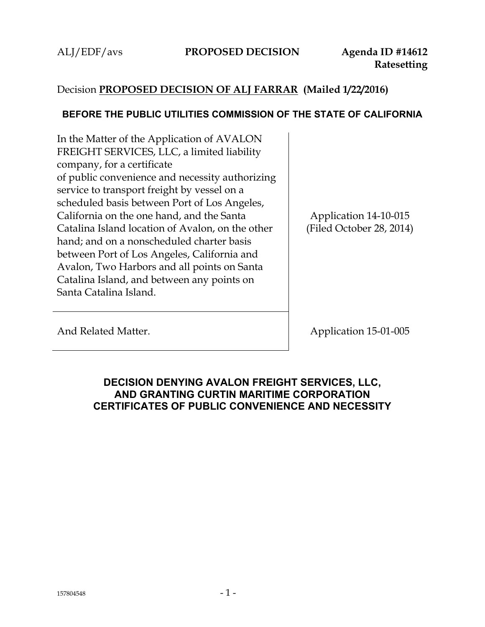## Decision **PROPOSED DECISION OF ALJ FARRAR (Mailed 1/22/2016)**

#### **BEFORE THE PUBLIC UTILITIES COMMISSION OF THE STATE OF CALIFORNIA**

In the Matter of the Application of AVALON FREIGHT SERVICES, LLC, a limited liability company, for a certificate of public convenience and necessity authorizing service to transport freight by vessel on a scheduled basis between Port of Los Angeles, California on the one hand, and the Santa Catalina Island location of Avalon, on the other hand; and on a nonscheduled charter basis between Port of Los Angeles, California and Avalon, Two Harbors and all points on Santa Catalina Island, and between any points on Santa Catalina Island.

Application 14-10-015 (Filed October 28, 2014)

And Related Matter. Application 15-01-005

## **DECISION DENYING AVALON FREIGHT SERVICES, LLC, AND GRANTING CURTIN MARITIME CORPORATION CERTIFICATES OF PUBLIC CONVENIENCE AND NECESSITY**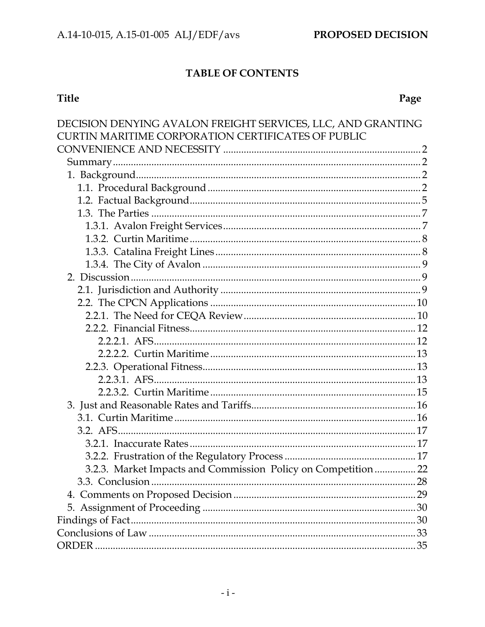## TABLE OF CONTENTS

# Title

# Page

| DECISION DENYING AVALON FREIGHT SERVICES, LLC, AND GRANTING    |  |
|----------------------------------------------------------------|--|
| <b>CURTIN MARITIME CORPORATION CERTIFICATES OF PUBLIC</b>      |  |
|                                                                |  |
|                                                                |  |
|                                                                |  |
|                                                                |  |
|                                                                |  |
|                                                                |  |
|                                                                |  |
|                                                                |  |
|                                                                |  |
|                                                                |  |
|                                                                |  |
|                                                                |  |
|                                                                |  |
|                                                                |  |
|                                                                |  |
|                                                                |  |
|                                                                |  |
|                                                                |  |
|                                                                |  |
|                                                                |  |
|                                                                |  |
|                                                                |  |
|                                                                |  |
|                                                                |  |
|                                                                |  |
| 3.2.3. Market Impacts and Commission Policy on Competition  22 |  |
|                                                                |  |
|                                                                |  |
|                                                                |  |
|                                                                |  |
|                                                                |  |
|                                                                |  |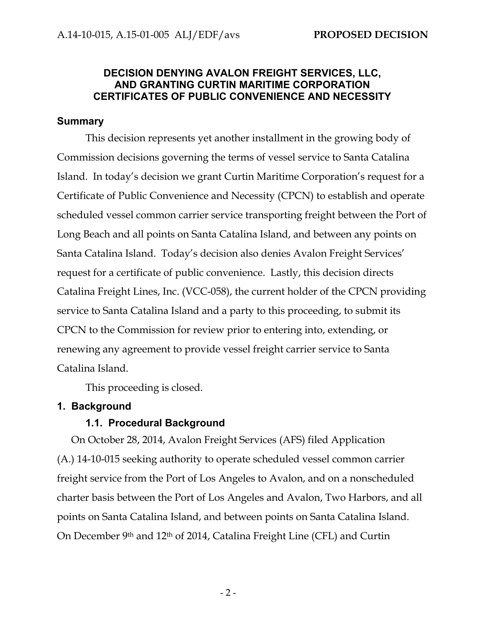## **DECISION DENYING AVALON FREIGHT SERVICES, LLC, AND GRANTING CURTIN MARITIME CORPORATION CERTIFICATES OF PUBLIC CONVENIENCE AND NECESSITY**

#### **Summary**

This decision represents yet another installment in the growing body of Commission decisions governing the terms of vessel service to Santa Catalina Island. In today's decision we grant Curtin Maritime Corporation's request for a Certificate of Public Convenience and Necessity (CPCN) to establish and operate scheduled vessel common carrier service transporting freight between the Port of Long Beach and all points on Santa Catalina Island, and between any points on Santa Catalina Island. Today's decision also denies Avalon Freight Services' request for a certificate of public convenience. Lastly, this decision directs Catalina Freight Lines, Inc. (VCC-058), the current holder of the CPCN providing service to Santa Catalina Island and a party to this proceeding, to submit its CPCN to the Commission for review prior to entering into, extending, or renewing any agreement to provide vessel freight carrier service to Santa Catalina Island.

This proceeding is closed.

#### **1. Background**

#### **1.1. Procedural Background**

On October 28, 2014, Avalon Freight Services (AFS) filed Application (A.) 14-10-015 seeking authority to operate scheduled vessel common carrier freight service from the Port of Los Angeles to Avalon, and on a nonscheduled charter basis between the Port of Los Angeles and Avalon, Two Harbors, and all points on Santa Catalina Island, and between points on Santa Catalina Island. On December 9th and 12th of 2014, Catalina Freight Line (CFL) and Curtin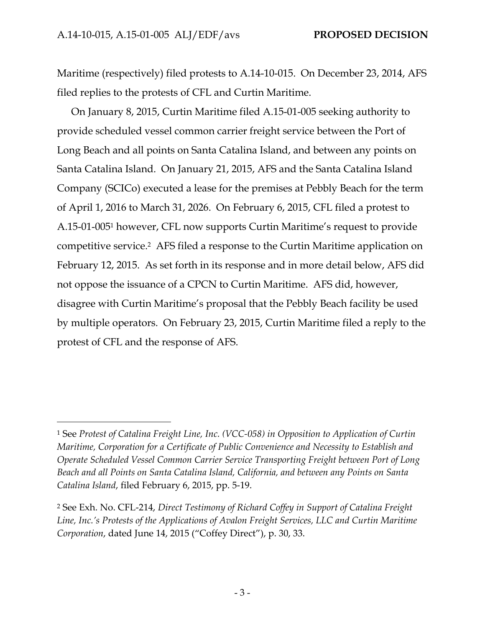-

Maritime (respectively) filed protests to A.14-10-015. On December 23, 2014, AFS filed replies to the protests of CFL and Curtin Maritime.

On January 8, 2015, Curtin Maritime filed A.15-01-005 seeking authority to provide scheduled vessel common carrier freight service between the Port of Long Beach and all points on Santa Catalina Island, and between any points on Santa Catalina Island. On January 21, 2015, AFS and the Santa Catalina Island Company (SCICo) executed a lease for the premises at Pebbly Beach for the term of April 1, 2016 to March 31, 2026. On February 6, 2015, CFL filed a protest to A.15-01-0051 however, CFL now supports Curtin Maritime's request to provide competitive service.2 AFS filed a response to the Curtin Maritime application on February 12, 2015. As set forth in its response and in more detail below, AFS did not oppose the issuance of a CPCN to Curtin Maritime. AFS did, however, disagree with Curtin Maritime's proposal that the Pebbly Beach facility be used by multiple operators. On February 23, 2015, Curtin Maritime filed a reply to the protest of CFL and the response of AFS.

<sup>1</sup> See *Protest of Catalina Freight Line, Inc. (VCC-058) in Opposition to Application of Curtin Maritime, Corporation for a Certificate of Public Convenience and Necessity to Establish and Operate Scheduled Vessel Common Carrier Service Transporting Freight between Port of Long Beach and all Points on Santa Catalina Island, California, and between any Points on Santa Catalina Island*, filed February 6, 2015, pp. 5-19.

<sup>2</sup> See Exh. No. CFL-214, *Direct Testimony of Richard Coffey in Support of Catalina Freight Line, Inc.'s Protests of the Applications of Avalon Freight Services, LLC and Curtin Maritime Corporation*, dated June 14, 2015 ("Coffey Direct"), p. 30, 33.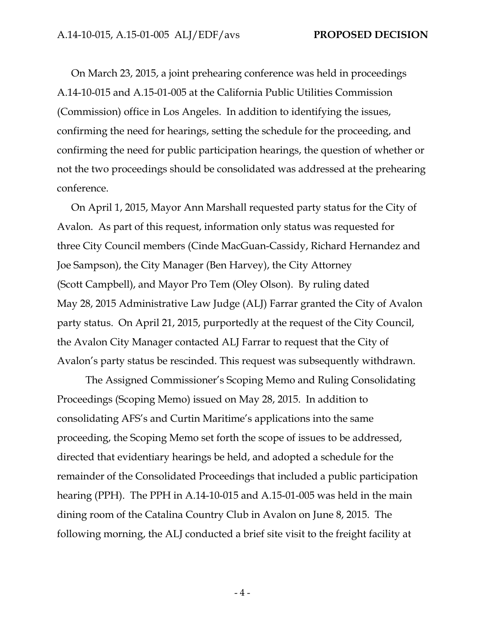On March 23, 2015, a joint prehearing conference was held in proceedings A.14-10-015 and A.15-01-005 at the California Public Utilities Commission (Commission) office in Los Angeles. In addition to identifying the issues, confirming the need for hearings, setting the schedule for the proceeding, and confirming the need for public participation hearings, the question of whether or not the two proceedings should be consolidated was addressed at the prehearing conference.

On April 1, 2015, Mayor Ann Marshall requested party status for the City of Avalon. As part of this request, information only status was requested for three City Council members (Cinde MacGuan-Cassidy, Richard Hernandez and Joe Sampson), the City Manager (Ben Harvey), the City Attorney (Scott Campbell), and Mayor Pro Tem (Oley Olson). By ruling dated May 28, 2015 Administrative Law Judge (ALJ) Farrar granted the City of Avalon party status. On April 21, 2015, purportedly at the request of the City Council, the Avalon City Manager contacted ALJ Farrar to request that the City of Avalon's party status be rescinded. This request was subsequently withdrawn.

The Assigned Commissioner's Scoping Memo and Ruling Consolidating Proceedings (Scoping Memo) issued on May 28, 2015. In addition to consolidating AFS's and Curtin Maritime's applications into the same proceeding, the Scoping Memo set forth the scope of issues to be addressed, directed that evidentiary hearings be held, and adopted a schedule for the remainder of the Consolidated Proceedings that included a public participation hearing (PPH). The PPH in A.14-10-015 and A.15-01-005 was held in the main dining room of the Catalina Country Club in Avalon on June 8, 2015. The following morning, the ALJ conducted a brief site visit to the freight facility at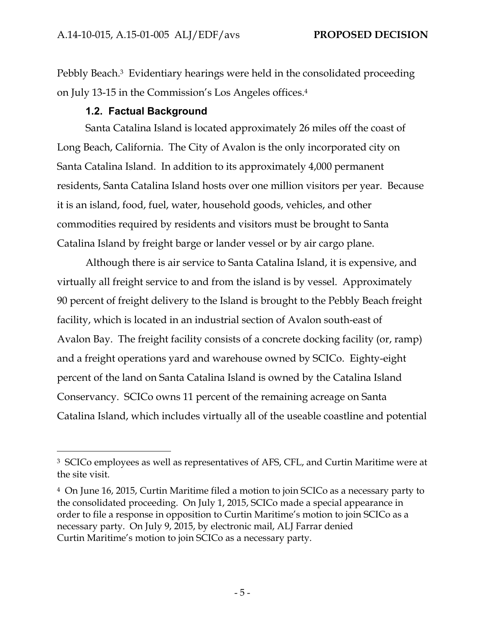Pebbly Beach.3 Evidentiary hearings were held in the consolidated proceeding on July 13-15 in the Commission's Los Angeles offices.4

## **1.2. Factual Background**

 $\overline{a}$ 

Santa Catalina Island is located approximately 26 miles off the coast of Long Beach, California. The City of Avalon is the only incorporated city on Santa Catalina Island. In addition to its approximately 4,000 permanent residents, Santa Catalina Island hosts over one million visitors per year. Because it is an island, food, fuel, water, household goods, vehicles, and other commodities required by residents and visitors must be brought to Santa Catalina Island by freight barge or lander vessel or by air cargo plane.

Although there is air service to Santa Catalina Island, it is expensive, and virtually all freight service to and from the island is by vessel. Approximately 90 percent of freight delivery to the Island is brought to the Pebbly Beach freight facility, which is located in an industrial section of Avalon south-east of Avalon Bay. The freight facility consists of a concrete docking facility (or, ramp) and a freight operations yard and warehouse owned by SCICo. Eighty-eight percent of the land on Santa Catalina Island is owned by the Catalina Island Conservancy. SCICo owns 11 percent of the remaining acreage on Santa Catalina Island, which includes virtually all of the useable coastline and potential

<sup>3</sup> SCICo employees as well as representatives of AFS, CFL, and Curtin Maritime were at the site visit.

<sup>4</sup> On June 16, 2015, Curtin Maritime filed a motion to join SCICo as a necessary party to the consolidated proceeding. On July 1, 2015, SCICo made a special appearance in order to file a response in opposition to Curtin Maritime's motion to join SCICo as a necessary party. On July 9, 2015, by electronic mail, ALJ Farrar denied Curtin Maritime's motion to join SCICo as a necessary party.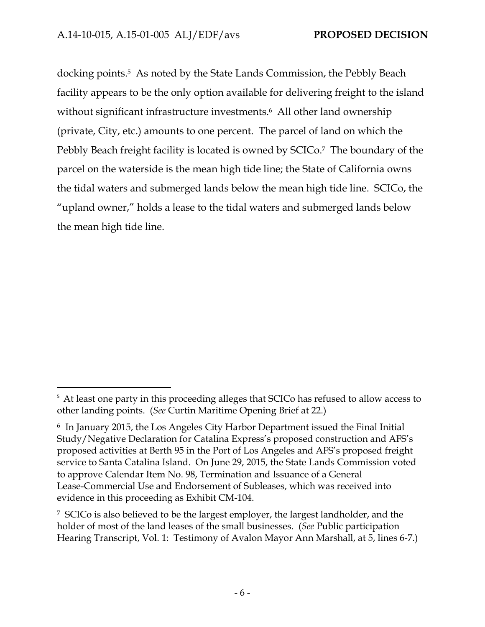$\overline{a}$ 

docking points.5 As noted by the State Lands Commission, the Pebbly Beach facility appears to be the only option available for delivering freight to the island without significant infrastructure investments.<sup>6</sup> All other land ownership (private, City, etc.) amounts to one percent. The parcel of land on which the Pebbly Beach freight facility is located is owned by SCICo.<sup>7</sup> The boundary of the parcel on the waterside is the mean high tide line; the State of California owns the tidal waters and submerged lands below the mean high tide line. SCICo, the "upland owner," holds a lease to the tidal waters and submerged lands below the mean high tide line.

<sup>&</sup>lt;sup>5</sup> At least one party in this proceeding alleges that SCICo has refused to allow access to other landing points. (*See* Curtin Maritime Opening Brief at 22.)

<sup>6</sup> In January 2015, the Los Angeles City Harbor Department issued the Final Initial Study/Negative Declaration for Catalina Express's proposed construction and AFS's proposed activities at Berth 95 in the Port of Los Angeles and AFS's proposed freight service to Santa Catalina Island. On June 29, 2015, the State Lands Commission voted to approve Calendar Item No. 98, Termination and Issuance of a General Lease-Commercial Use and Endorsement of Subleases, which was received into evidence in this proceeding as Exhibit CM-104.

<sup>7</sup> SCICo is also believed to be the largest employer, the largest landholder, and the holder of most of the land leases of the small businesses. (*See* Public participation Hearing Transcript, Vol. 1: Testimony of Avalon Mayor Ann Marshall, at 5, lines 6-7.)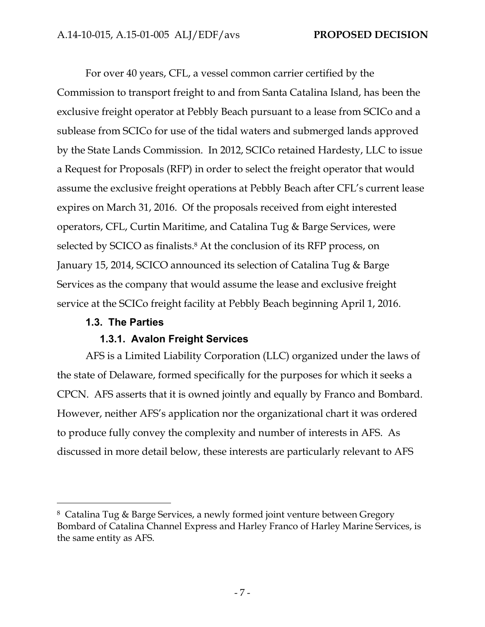For over 40 years, CFL, a vessel common carrier certified by the Commission to transport freight to and from Santa Catalina Island, has been the exclusive freight operator at Pebbly Beach pursuant to a lease from SCICo and a sublease from SCICo for use of the tidal waters and submerged lands approved by the State Lands Commission. In 2012, SCICo retained Hardesty, LLC to issue a Request for Proposals (RFP) in order to select the freight operator that would assume the exclusive freight operations at Pebbly Beach after CFL's current lease expires on March 31, 2016. Of the proposals received from eight interested operators, CFL, Curtin Maritime, and Catalina Tug & Barge Services, were selected by SCICO as finalists.<sup>8</sup> At the conclusion of its RFP process, on January 15, 2014, SCICO announced its selection of Catalina Tug & Barge Services as the company that would assume the lease and exclusive freight service at the SCICo freight facility at Pebbly Beach beginning April 1, 2016.

## **1.3. The Parties**

 $\overline{a}$ 

## **1.3.1. Avalon Freight Services**

AFS is a Limited Liability Corporation (LLC) organized under the laws of the state of Delaware, formed specifically for the purposes for which it seeks a CPCN. AFS asserts that it is owned jointly and equally by Franco and Bombard. However, neither AFS's application nor the organizational chart it was ordered to produce fully convey the complexity and number of interests in AFS. As discussed in more detail below, these interests are particularly relevant to AFS

<sup>8</sup> Catalina Tug & Barge Services, a newly formed joint venture between Gregory Bombard of Catalina Channel Express and Harley Franco of Harley Marine Services, is the same entity as AFS.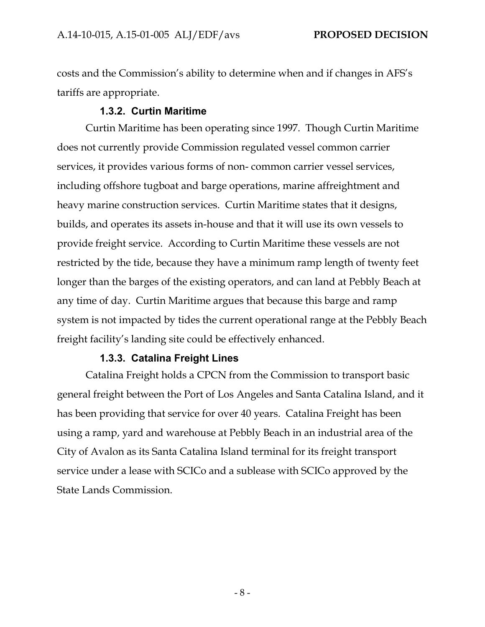costs and the Commission's ability to determine when and if changes in AFS's tariffs are appropriate.

## **1.3.2. Curtin Maritime**

Curtin Maritime has been operating since 1997. Though Curtin Maritime does not currently provide Commission regulated vessel common carrier services, it provides various forms of non- common carrier vessel services, including offshore tugboat and barge operations, marine affreightment and heavy marine construction services. Curtin Maritime states that it designs, builds, and operates its assets in-house and that it will use its own vessels to provide freight service. According to Curtin Maritime these vessels are not restricted by the tide, because they have a minimum ramp length of twenty feet longer than the barges of the existing operators, and can land at Pebbly Beach at any time of day. Curtin Maritime argues that because this barge and ramp system is not impacted by tides the current operational range at the Pebbly Beach freight facility's landing site could be effectively enhanced.

#### **1.3.3. Catalina Freight Lines**

Catalina Freight holds a CPCN from the Commission to transport basic general freight between the Port of Los Angeles and Santa Catalina Island, and it has been providing that service for over 40 years. Catalina Freight has been using a ramp, yard and warehouse at Pebbly Beach in an industrial area of the City of Avalon as its Santa Catalina Island terminal for its freight transport service under a lease with SCICo and a sublease with SCICo approved by the State Lands Commission.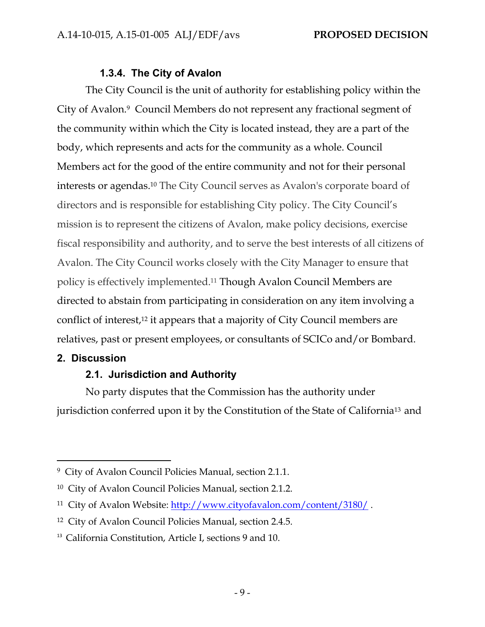## **1.3.4. The City of Avalon**

The City Council is the unit of authority for establishing policy within the City of Avalon.9 Council Members do not represent any fractional segment of the community within which the City is located instead, they are a part of the body, which represents and acts for the community as a whole. Council Members act for the good of the entire community and not for their personal interests or agendas.10 The City Council serves as Avalon's corporate board of directors and is responsible for establishing City policy. The City Council's mission is to represent the citizens of Avalon, make policy decisions, exercise fiscal responsibility and authority, and to serve the best interests of all citizens of Avalon. The City Council works closely with the City Manager to ensure that policy is effectively implemented.11 Though Avalon Council Members are directed to abstain from participating in consideration on any item involving a conflict of interest,12 it appears that a majority of City Council members are relatives, past or present employees, or consultants of SCICo and/or Bombard.

#### **2. Discussion**

 $\overline{a}$ 

## **2.1. Jurisdiction and Authority**

No party disputes that the Commission has the authority under jurisdiction conferred upon it by the Constitution of the State of California13 and

<sup>9</sup> City of Avalon Council Policies Manual, section 2.1.1.

<sup>10</sup> City of Avalon Council Policies Manual, section 2.1.2.

<sup>11</sup> City of Avalon Website: http://www.cityofavalon.com/content/3180/ .

<sup>12</sup> City of Avalon Council Policies Manual, section 2.4.5.

<sup>&</sup>lt;sup>13</sup> California Constitution, Article I, sections 9 and 10.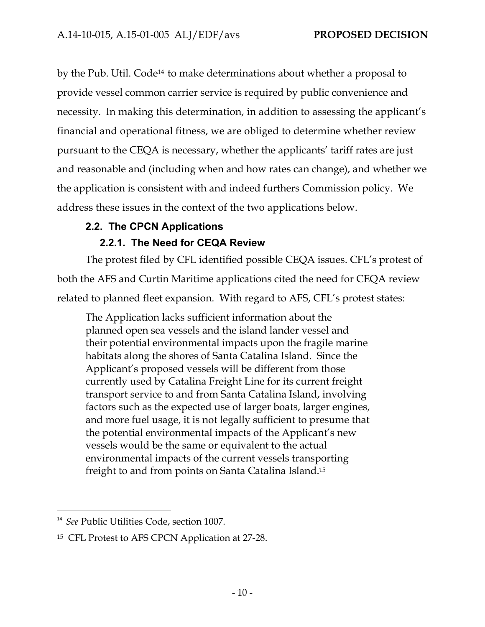by the Pub. Util. Code<sup>14</sup> to make determinations about whether a proposal to provide vessel common carrier service is required by public convenience and necessity. In making this determination, in addition to assessing the applicant's financial and operational fitness, we are obliged to determine whether review pursuant to the CEQA is necessary, whether the applicants' tariff rates are just and reasonable and (including when and how rates can change), and whether we the application is consistent with and indeed furthers Commission policy. We address these issues in the context of the two applications below.

## **2.2. The CPCN Applications**

## **2.2.1. The Need for CEQA Review**

The protest filed by CFL identified possible CEQA issues. CFL's protest of both the AFS and Curtin Maritime applications cited the need for CEQA review related to planned fleet expansion. With regard to AFS, CFL's protest states:

The Application lacks sufficient information about the planned open sea vessels and the island lander vessel and their potential environmental impacts upon the fragile marine habitats along the shores of Santa Catalina Island. Since the Applicant's proposed vessels will be different from those currently used by Catalina Freight Line for its current freight transport service to and from Santa Catalina Island, involving factors such as the expected use of larger boats, larger engines, and more fuel usage, it is not legally sufficient to presume that the potential environmental impacts of the Applicant's new vessels would be the same or equivalent to the actual environmental impacts of the current vessels transporting freight to and from points on Santa Catalina Island.15

-

<sup>&</sup>lt;sup>14</sup> See Public Utilities Code, section 1007.

<sup>15</sup> CFL Protest to AFS CPCN Application at 27-28.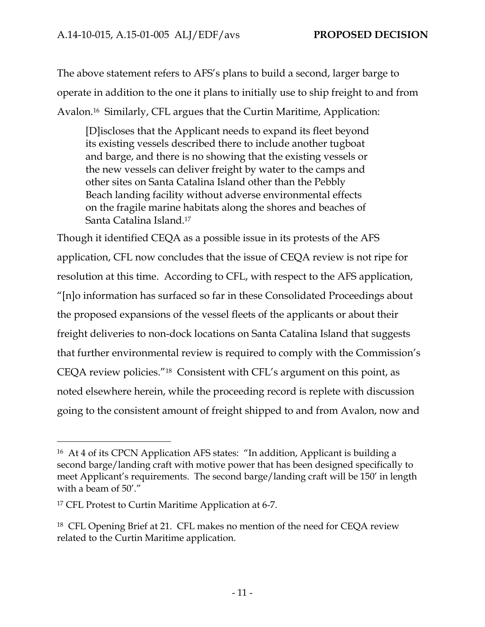The above statement refers to AFS's plans to build a second, larger barge to operate in addition to the one it plans to initially use to ship freight to and from Avalon.16 Similarly, CFL argues that the Curtin Maritime, Application:

[D]iscloses that the Applicant needs to expand its fleet beyond its existing vessels described there to include another tugboat and barge, and there is no showing that the existing vessels or the new vessels can deliver freight by water to the camps and other sites on Santa Catalina Island other than the Pebbly Beach landing facility without adverse environmental effects on the fragile marine habitats along the shores and beaches of Santa Catalina Island.17

Though it identified CEQA as a possible issue in its protests of the AFS application, CFL now concludes that the issue of CEQA review is not ripe for resolution at this time. According to CFL, with respect to the AFS application, "[n]o information has surfaced so far in these Consolidated Proceedings about the proposed expansions of the vessel fleets of the applicants or about their freight deliveries to non-dock locations on Santa Catalina Island that suggests that further environmental review is required to comply with the Commission's CEQA review policies."18 Consistent with CFL's argument on this point, as noted elsewhere herein, while the proceeding record is replete with discussion going to the consistent amount of freight shipped to and from Avalon, now and

-

<sup>16</sup> At 4 of its CPCN Application AFS states: "In addition, Applicant is building a second barge/landing craft with motive power that has been designed specifically to meet Applicant's requirements. The second barge/landing craft will be 150' in length with a beam of 50'."

<sup>17</sup> CFL Protest to Curtin Maritime Application at 6-7.

<sup>18</sup> CFL Opening Brief at 21. CFL makes no mention of the need for CEQA review related to the Curtin Maritime application.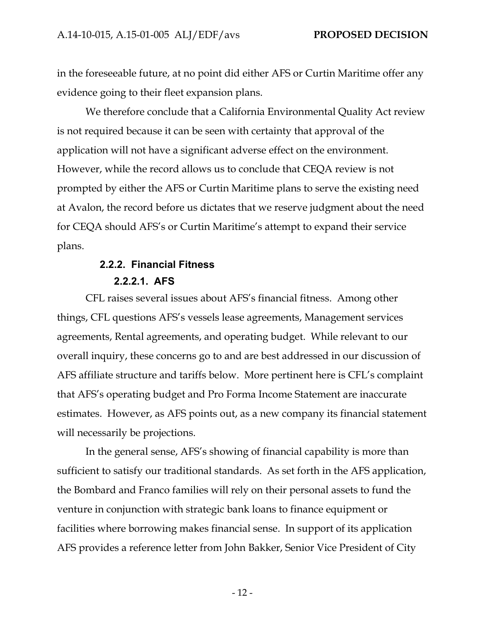in the foreseeable future, at no point did either AFS or Curtin Maritime offer any evidence going to their fleet expansion plans.

We therefore conclude that a California Environmental Quality Act review is not required because it can be seen with certainty that approval of the application will not have a significant adverse effect on the environment. However, while the record allows us to conclude that CEQA review is not prompted by either the AFS or Curtin Maritime plans to serve the existing need at Avalon, the record before us dictates that we reserve judgment about the need for CEQA should AFS's or Curtin Maritime's attempt to expand their service plans.

# **2.2.2. Financial Fitness 2.2.2.1. AFS**

CFL raises several issues about AFS's financial fitness. Among other things, CFL questions AFS's vessels lease agreements, Management services agreements, Rental agreements, and operating budget. While relevant to our overall inquiry, these concerns go to and are best addressed in our discussion of AFS affiliate structure and tariffs below. More pertinent here is CFL's complaint that AFS's operating budget and Pro Forma Income Statement are inaccurate estimates. However, as AFS points out, as a new company its financial statement will necessarily be projections.

In the general sense, AFS's showing of financial capability is more than sufficient to satisfy our traditional standards. As set forth in the AFS application, the Bombard and Franco families will rely on their personal assets to fund the venture in conjunction with strategic bank loans to finance equipment or facilities where borrowing makes financial sense. In support of its application AFS provides a reference letter from John Bakker, Senior Vice President of City

- 12 -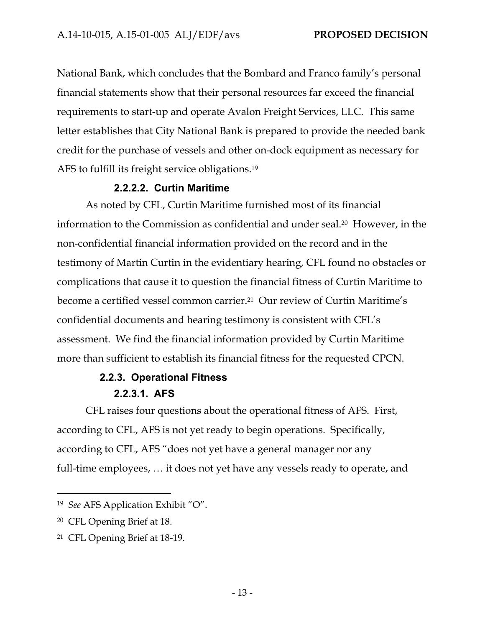National Bank, which concludes that the Bombard and Franco family's personal financial statements show that their personal resources far exceed the financial requirements to start-up and operate Avalon Freight Services, LLC. This same letter establishes that City National Bank is prepared to provide the needed bank credit for the purchase of vessels and other on-dock equipment as necessary for AFS to fulfill its freight service obligations.19

## **2.2.2.2. Curtin Maritime**

As noted by CFL, Curtin Maritime furnished most of its financial information to the Commission as confidential and under seal.20 However, in the non-confidential financial information provided on the record and in the testimony of Martin Curtin in the evidentiary hearing, CFL found no obstacles or complications that cause it to question the financial fitness of Curtin Maritime to become a certified vessel common carrier.21 Our review of Curtin Maritime's confidential documents and hearing testimony is consistent with CFL's assessment. We find the financial information provided by Curtin Maritime more than sufficient to establish its financial fitness for the requested CPCN.

## **2.2.3. Operational Fitness 2.2.3.1. AFS**

CFL raises four questions about the operational fitness of AFS. First, according to CFL, AFS is not yet ready to begin operations. Specifically, according to CFL, AFS "does not yet have a general manager nor any full-time employees, … it does not yet have any vessels ready to operate, and

<sup>19</sup> *See* AFS Application Exhibit "O".

<sup>20</sup> CFL Opening Brief at 18.

<sup>21</sup> CFL Opening Brief at 18-19.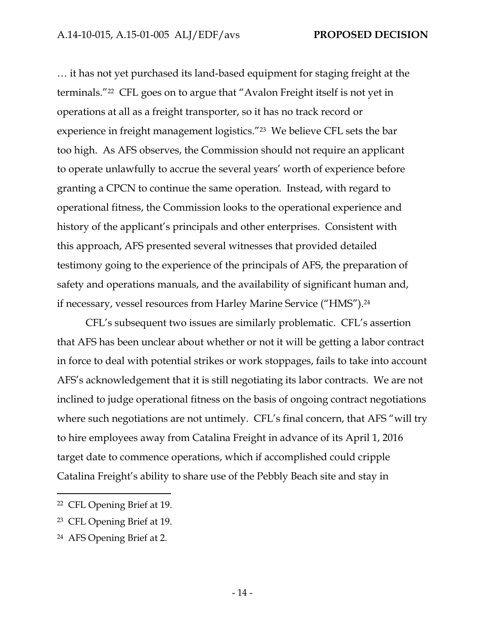… it has not yet purchased its land-based equipment for staging freight at the terminals."22 CFL goes on to argue that "Avalon Freight itself is not yet in operations at all as a freight transporter, so it has no track record or experience in freight management logistics."23 We believe CFL sets the bar too high. As AFS observes, the Commission should not require an applicant to operate unlawfully to accrue the several years' worth of experience before granting a CPCN to continue the same operation. Instead, with regard to operational fitness, the Commission looks to the operational experience and history of the applicant's principals and other enterprises. Consistent with this approach, AFS presented several witnesses that provided detailed testimony going to the experience of the principals of AFS, the preparation of safety and operations manuals, and the availability of significant human and, if necessary, vessel resources from Harley Marine Service ("HMS").24

CFL's subsequent two issues are similarly problematic. CFL's assertion that AFS has been unclear about whether or not it will be getting a labor contract in force to deal with potential strikes or work stoppages, fails to take into account AFS's acknowledgement that it is still negotiating its labor contracts. We are not inclined to judge operational fitness on the basis of ongoing contract negotiations where such negotiations are not untimely. CFL's final concern, that AFS "will try to hire employees away from Catalina Freight in advance of its April 1, 2016 target date to commence operations, which if accomplished could cripple Catalina Freight's ability to share use of the Pebbly Beach site and stay in

-

<sup>22</sup> CFL Opening Brief at 19.

<sup>23</sup> CFL Opening Brief at 19.

<sup>24</sup> AFS Opening Brief at 2.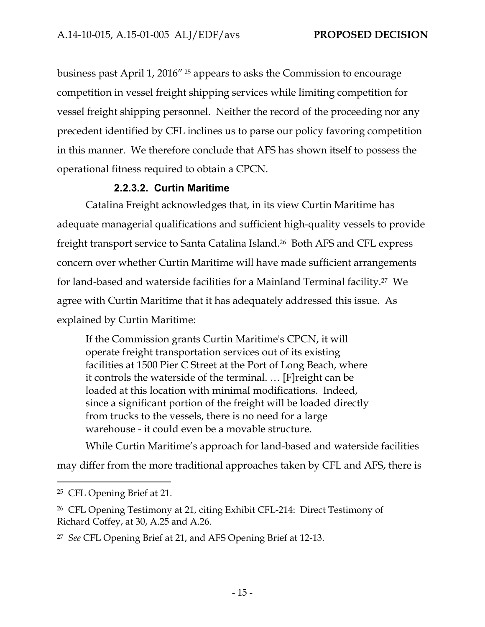business past April 1, 2016" 25 appears to asks the Commission to encourage competition in vessel freight shipping services while limiting competition for vessel freight shipping personnel. Neither the record of the proceeding nor any precedent identified by CFL inclines us to parse our policy favoring competition in this manner. We therefore conclude that AFS has shown itself to possess the operational fitness required to obtain a CPCN.

## **2.2.3.2. Curtin Maritime**

Catalina Freight acknowledges that, in its view Curtin Maritime has adequate managerial qualifications and sufficient high-quality vessels to provide freight transport service to Santa Catalina Island.26 Both AFS and CFL express concern over whether Curtin Maritime will have made sufficient arrangements for land-based and waterside facilities for a Mainland Terminal facility.27 We agree with Curtin Maritime that it has adequately addressed this issue. As explained by Curtin Maritime:

If the Commission grants Curtin Maritime's CPCN, it will operate freight transportation services out of its existing facilities at 1500 Pier C Street at the Port of Long Beach, where it controls the waterside of the terminal. … [F]reight can be loaded at this location with minimal modifications. Indeed, since a significant portion of the freight will be loaded directly from trucks to the vessels, there is no need for a large warehouse - it could even be a movable structure.

While Curtin Maritime's approach for land-based and waterside facilities

may differ from the more traditional approaches taken by CFL and AFS, there is

<sup>25</sup> CFL Opening Brief at 21.

<sup>26</sup> CFL Opening Testimony at 21, citing Exhibit CFL-214: Direct Testimony of Richard Coffey, at 30, A.25 and A.26.

<sup>27</sup> *See* CFL Opening Brief at 21, and AFS Opening Brief at 12-13.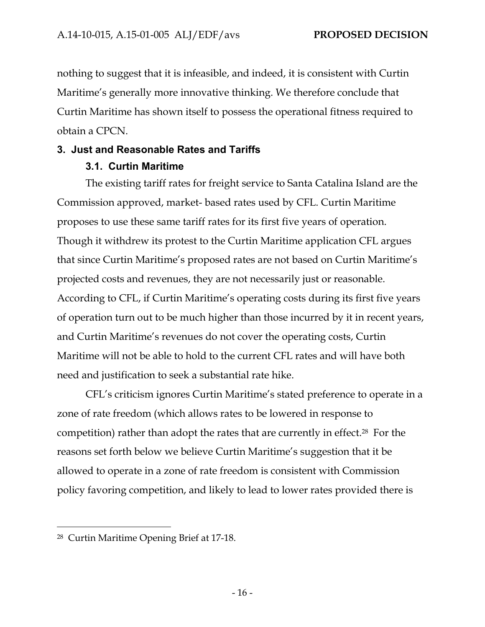nothing to suggest that it is infeasible, and indeed, it is consistent with Curtin Maritime's generally more innovative thinking. We therefore conclude that Curtin Maritime has shown itself to possess the operational fitness required to obtain a CPCN.

# **3. Just and Reasonable Rates and Tariffs**

## **3.1. Curtin Maritime**

The existing tariff rates for freight service to Santa Catalina Island are the Commission approved, market- based rates used by CFL. Curtin Maritime proposes to use these same tariff rates for its first five years of operation. Though it withdrew its protest to the Curtin Maritime application CFL argues that since Curtin Maritime's proposed rates are not based on Curtin Maritime's projected costs and revenues, they are not necessarily just or reasonable. According to CFL, if Curtin Maritime's operating costs during its first five years of operation turn out to be much higher than those incurred by it in recent years, and Curtin Maritime's revenues do not cover the operating costs, Curtin Maritime will not be able to hold to the current CFL rates and will have both need and justification to seek a substantial rate hike.

CFL's criticism ignores Curtin Maritime's stated preference to operate in a zone of rate freedom (which allows rates to be lowered in response to competition) rather than adopt the rates that are currently in effect.28 For the reasons set forth below we believe Curtin Maritime's suggestion that it be allowed to operate in a zone of rate freedom is consistent with Commission policy favoring competition, and likely to lead to lower rates provided there is

<sup>28</sup> Curtin Maritime Opening Brief at 17-18.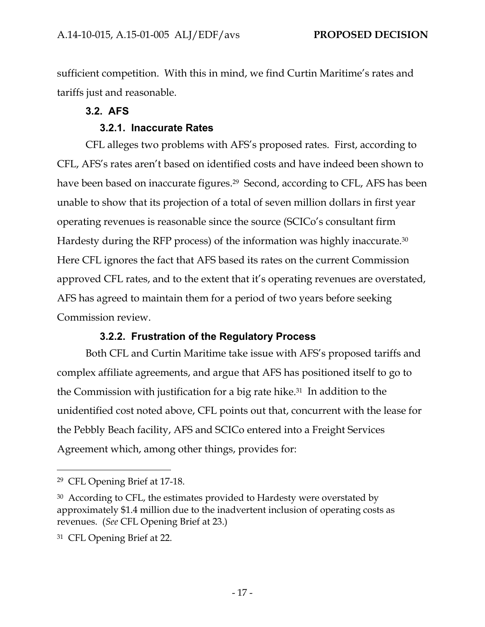sufficient competition. With this in mind, we find Curtin Maritime's rates and tariffs just and reasonable.

## **3.2. AFS**

## **3.2.1. Inaccurate Rates**

CFL alleges two problems with AFS's proposed rates. First, according to CFL, AFS's rates aren't based on identified costs and have indeed been shown to have been based on inaccurate figures.<sup>29</sup> Second, according to CFL, AFS has been unable to show that its projection of a total of seven million dollars in first year operating revenues is reasonable since the source (SCICo's consultant firm Hardesty during the RFP process) of the information was highly inaccurate.30 Here CFL ignores the fact that AFS based its rates on the current Commission approved CFL rates, and to the extent that it's operating revenues are overstated, AFS has agreed to maintain them for a period of two years before seeking Commission review.

## **3.2.2. Frustration of the Regulatory Process**

Both CFL and Curtin Maritime take issue with AFS's proposed tariffs and complex affiliate agreements, and argue that AFS has positioned itself to go to the Commission with justification for a big rate hike.31 In addition to the unidentified cost noted above, CFL points out that, concurrent with the lease for the Pebbly Beach facility, AFS and SCICo entered into a Freight Services Agreement which, among other things, provides for:

<sup>29</sup> CFL Opening Brief at 17-18.

<sup>&</sup>lt;sup>30</sup> According to CFL, the estimates provided to Hardesty were overstated by approximately \$1.4 million due to the inadvertent inclusion of operating costs as revenues. (*See* CFL Opening Brief at 23.)

<sup>31</sup> CFL Opening Brief at 22.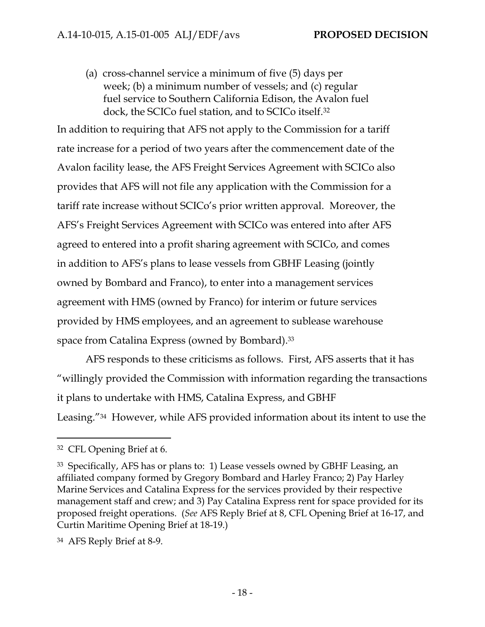(a) cross-channel service a minimum of five (5) days per week; (b) a minimum number of vessels; and (c) regular fuel service to Southern California Edison, the Avalon fuel dock, the SCICo fuel station, and to SCICo itself.32

In addition to requiring that AFS not apply to the Commission for a tariff rate increase for a period of two years after the commencement date of the Avalon facility lease, the AFS Freight Services Agreement with SCICo also provides that AFS will not file any application with the Commission for a tariff rate increase without SCICo's prior written approval. Moreover, the AFS's Freight Services Agreement with SCICo was entered into after AFS agreed to entered into a profit sharing agreement with SCICo, and comes in addition to AFS's plans to lease vessels from GBHF Leasing (jointly owned by Bombard and Franco), to enter into a management services agreement with HMS (owned by Franco) for interim or future services provided by HMS employees, and an agreement to sublease warehouse space from Catalina Express (owned by Bombard).33

AFS responds to these criticisms as follows. First, AFS asserts that it has "willingly provided the Commission with information regarding the transactions it plans to undertake with HMS, Catalina Express, and GBHF Leasing."34 However, while AFS provided information about its intent to use the

<sup>32</sup> CFL Opening Brief at 6.

<sup>33</sup> Specifically, AFS has or plans to: 1) Lease vessels owned by GBHF Leasing, an affiliated company formed by Gregory Bombard and Harley Franco; 2) Pay Harley Marine Services and Catalina Express for the services provided by their respective management staff and crew; and 3) Pay Catalina Express rent for space provided for its proposed freight operations. (*See* AFS Reply Brief at 8, CFL Opening Brief at 16-17, and Curtin Maritime Opening Brief at 18-19.)

<sup>34</sup> AFS Reply Brief at 8-9.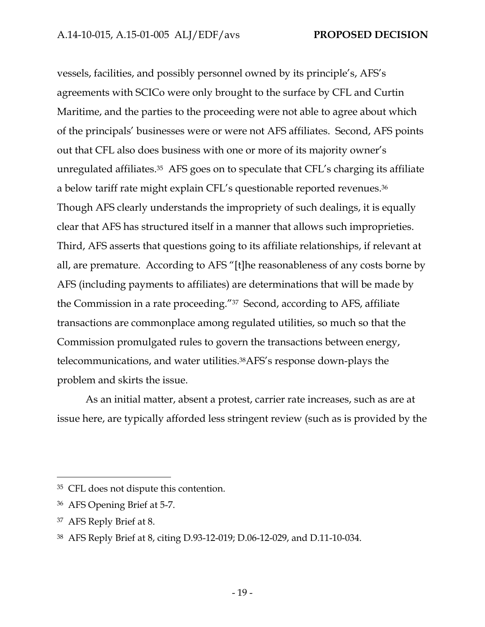vessels, facilities, and possibly personnel owned by its principle's, AFS's agreements with SCICo were only brought to the surface by CFL and Curtin Maritime, and the parties to the proceeding were not able to agree about which of the principals' businesses were or were not AFS affiliates. Second, AFS points out that CFL also does business with one or more of its majority owner's unregulated affiliates.35 AFS goes on to speculate that CFL's charging its affiliate a below tariff rate might explain CFL's questionable reported revenues.36 Though AFS clearly understands the impropriety of such dealings, it is equally clear that AFS has structured itself in a manner that allows such improprieties. Third, AFS asserts that questions going to its affiliate relationships, if relevant at all, are premature. According to AFS "[t]he reasonableness of any costs borne by AFS (including payments to affiliates) are determinations that will be made by the Commission in a rate proceeding."37 Second, according to AFS, affiliate transactions are commonplace among regulated utilities, so much so that the Commission promulgated rules to govern the transactions between energy, telecommunications, and water utilities.38AFS's response down-plays the problem and skirts the issue.

As an initial matter, absent a protest, carrier rate increases, such as are at issue here, are typically afforded less stringent review (such as is provided by the

-

<sup>35</sup> CFL does not dispute this contention.

<sup>36</sup> AFS Opening Brief at 5-7.

<sup>37</sup> AFS Reply Brief at 8.

<sup>38</sup> AFS Reply Brief at 8, citing D.93-12-019; D.06-12-029, and D.11-10-034.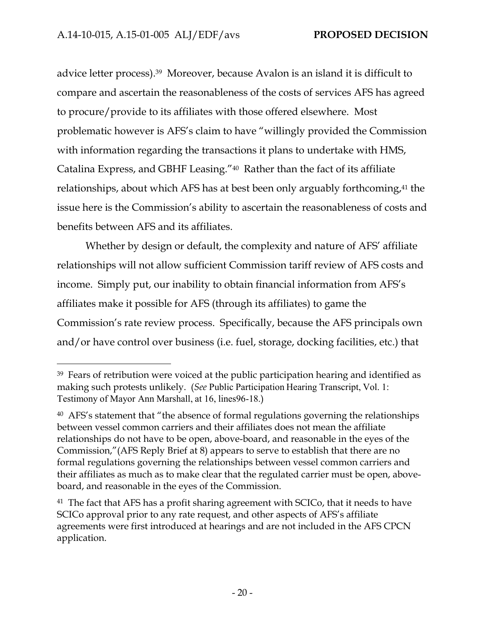-

advice letter process).39 Moreover, because Avalon is an island it is difficult to compare and ascertain the reasonableness of the costs of services AFS has agreed to procure/provide to its affiliates with those offered elsewhere. Most problematic however is AFS's claim to have "willingly provided the Commission with information regarding the transactions it plans to undertake with HMS, Catalina Express, and GBHF Leasing."40 Rather than the fact of its affiliate relationships, about which AFS has at best been only arguably forthcoming,<sup>41</sup> the issue here is the Commission's ability to ascertain the reasonableness of costs and benefits between AFS and its affiliates.

Whether by design or default, the complexity and nature of AFS' affiliate relationships will not allow sufficient Commission tariff review of AFS costs and income. Simply put, our inability to obtain financial information from AFS's affiliates make it possible for AFS (through its affiliates) to game the Commission's rate review process. Specifically, because the AFS principals own and/or have control over business (i.e. fuel, storage, docking facilities, etc.) that

<sup>&</sup>lt;sup>39</sup> Fears of retribution were voiced at the public participation hearing and identified as making such protests unlikely. (*See* Public Participation Hearing Transcript, Vol. 1: Testimony of Mayor Ann Marshall, at 16, lines96-18.)

<sup>&</sup>lt;sup>40</sup> AFS's statement that "the absence of formal regulations governing the relationships between vessel common carriers and their affiliates does not mean the affiliate relationships do not have to be open, above-board, and reasonable in the eyes of the Commission,"(AFS Reply Brief at 8) appears to serve to establish that there are no formal regulations governing the relationships between vessel common carriers and their affiliates as much as to make clear that the regulated carrier must be open, aboveboard, and reasonable in the eyes of the Commission.

<sup>&</sup>lt;sup>41</sup> The fact that AFS has a profit sharing agreement with SCICo, that it needs to have SCICo approval prior to any rate request, and other aspects of AFS's affiliate agreements were first introduced at hearings and are not included in the AFS CPCN application.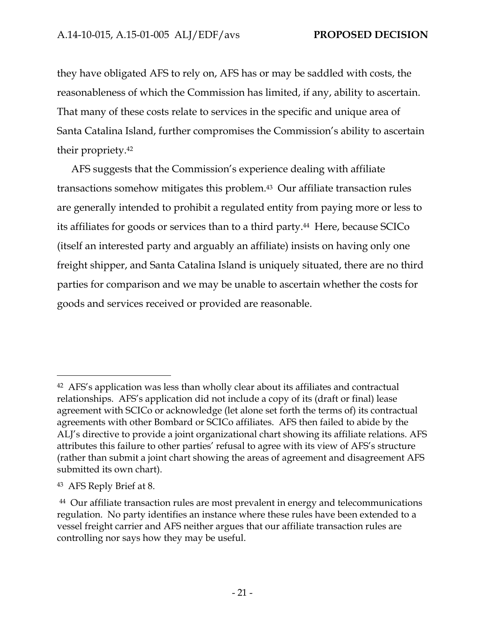they have obligated AFS to rely on, AFS has or may be saddled with costs, the reasonableness of which the Commission has limited, if any, ability to ascertain. That many of these costs relate to services in the specific and unique area of Santa Catalina Island, further compromises the Commission's ability to ascertain their propriety.42

AFS suggests that the Commission's experience dealing with affiliate transactions somehow mitigates this problem.43 Our affiliate transaction rules are generally intended to prohibit a regulated entity from paying more or less to its affiliates for goods or services than to a third party.44 Here, because SCICo (itself an interested party and arguably an affiliate) insists on having only one freight shipper, and Santa Catalina Island is uniquely situated, there are no third parties for comparison and we may be unable to ascertain whether the costs for goods and services received or provided are reasonable.

<sup>42</sup> AFS's application was less than wholly clear about its affiliates and contractual relationships. AFS's application did not include a copy of its (draft or final) lease agreement with SCICo or acknowledge (let alone set forth the terms of) its contractual agreements with other Bombard or SCICo affiliates. AFS then failed to abide by the ALJ's directive to provide a joint organizational chart showing its affiliate relations. AFS attributes this failure to other parties' refusal to agree with its view of AFS's structure (rather than submit a joint chart showing the areas of agreement and disagreement AFS submitted its own chart).

<sup>43</sup> AFS Reply Brief at 8.

<sup>&</sup>lt;sup>44</sup> Our affiliate transaction rules are most prevalent in energy and telecommunications regulation. No party identifies an instance where these rules have been extended to a vessel freight carrier and AFS neither argues that our affiliate transaction rules are controlling nor says how they may be useful.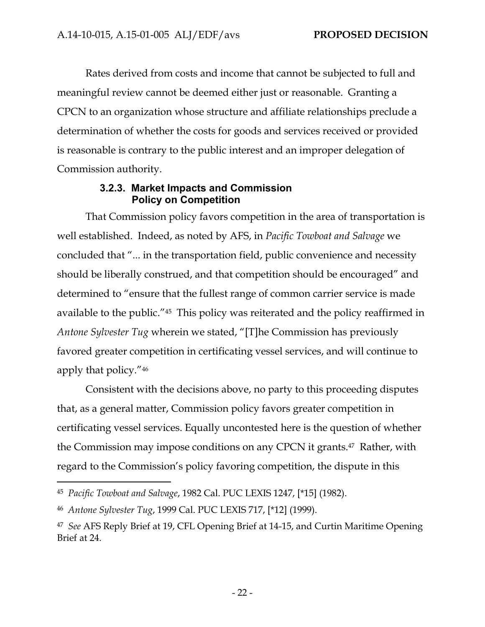Rates derived from costs and income that cannot be subjected to full and meaningful review cannot be deemed either just or reasonable. Granting a CPCN to an organization whose structure and affiliate relationships preclude a determination of whether the costs for goods and services received or provided is reasonable is contrary to the public interest and an improper delegation of Commission authority.

### **3.2.3. Market Impacts and Commission Policy on Competition**

That Commission policy favors competition in the area of transportation is well established. Indeed, as noted by AFS, in *Pacific Towboat and Salvage* we concluded that "... in the transportation field, public convenience and necessity should be liberally construed, and that competition should be encouraged" and determined to "ensure that the fullest range of common carrier service is made available to the public."45 This policy was reiterated and the policy reaffirmed in *Antone Sylvester Tug* wherein we stated, "[T]he Commission has previously favored greater competition in certificating vessel services, and will continue to apply that policy."46

Consistent with the decisions above, no party to this proceeding disputes that, as a general matter, Commission policy favors greater competition in certificating vessel services. Equally uncontested here is the question of whether the Commission may impose conditions on any CPCN it grants.47 Rather, with regard to the Commission's policy favoring competition, the dispute in this

<sup>45</sup> *Pacific Towboat and Salvage*, 1982 Cal. PUC LEXIS 1247, [\*15] (1982).

<sup>46</sup> *Antone Sylvester Tug*, 1999 Cal. PUC LEXIS 717, [\*12] (1999).

<sup>47</sup> *See* AFS Reply Brief at 19, CFL Opening Brief at 14-15, and Curtin Maritime Opening Brief at 24.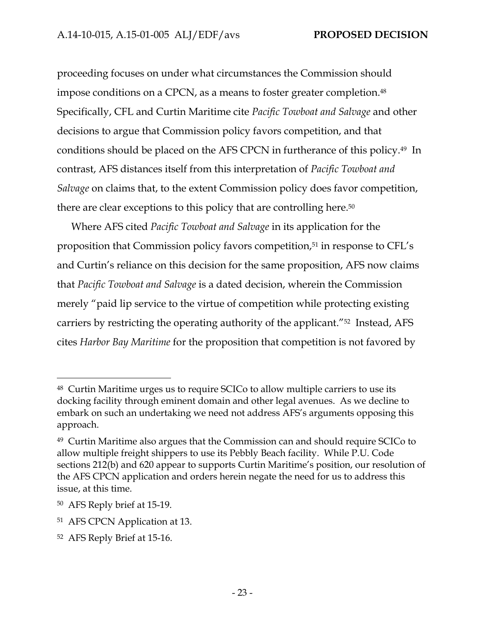proceeding focuses on under what circumstances the Commission should impose conditions on a CPCN, as a means to foster greater completion.48 Specifically, CFL and Curtin Maritime cite *Pacific Towboat and Salvage* and other decisions to argue that Commission policy favors competition, and that conditions should be placed on the AFS CPCN in furtherance of this policy.49 In contrast, AFS distances itself from this interpretation of *Pacific Towboat and Salvage* on claims that, to the extent Commission policy does favor competition, there are clear exceptions to this policy that are controlling here.50

Where AFS cited *Pacific Towboat and Salvage* in its application for the proposition that Commission policy favors competition,<sup>51</sup> in response to CFL's and Curtin's reliance on this decision for the same proposition, AFS now claims that *Pacific Towboat and Salvage* is a dated decision, wherein the Commission merely "paid lip service to the virtue of competition while protecting existing carriers by restricting the operating authority of the applicant."52 Instead, AFS cites *Harbor Bay Maritime* for the proposition that competition is not favored by

<sup>48</sup> Curtin Maritime urges us to require SCICo to allow multiple carriers to use its docking facility through eminent domain and other legal avenues. As we decline to embark on such an undertaking we need not address AFS's arguments opposing this approach.

<sup>49</sup> Curtin Maritime also argues that the Commission can and should require SCICo to allow multiple freight shippers to use its Pebbly Beach facility. While P.U. Code sections 212(b) and 620 appear to supports Curtin Maritime's position, our resolution of the AFS CPCN application and orders herein negate the need for us to address this issue, at this time.

<sup>50</sup> AFS Reply brief at 15-19.

<sup>51</sup> AFS CPCN Application at 13.

<sup>52</sup> AFS Reply Brief at 15-16.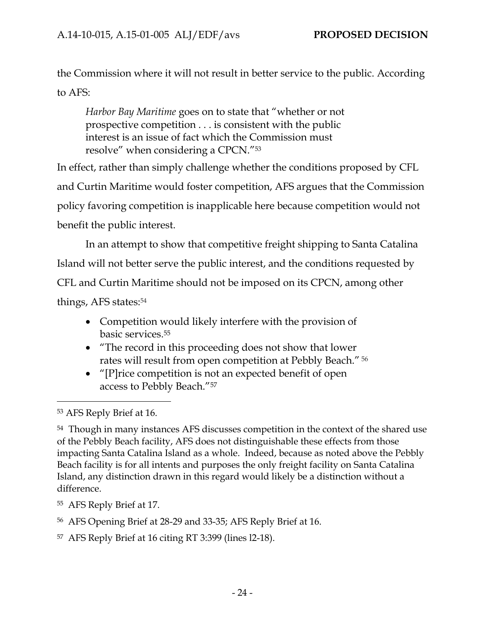the Commission where it will not result in better service to the public. According to AFS:

*Harbor Bay Maritime* goes on to state that "whether or not prospective competition . . . is consistent with the public interest is an issue of fact which the Commission must resolve" when considering a CPCN."53

In effect, rather than simply challenge whether the conditions proposed by CFL and Curtin Maritime would foster competition, AFS argues that the Commission policy favoring competition is inapplicable here because competition would not benefit the public interest.

In an attempt to show that competitive freight shipping to Santa Catalina Island will not better serve the public interest, and the conditions requested by CFL and Curtin Maritime should not be imposed on its CPCN, among other things, AFS states:54

- Competition would likely interfere with the provision of basic services.55
- "The record in this proceeding does not show that lower rates will result from open competition at Pebbly Beach." 56
- "[P]rice competition is not an expected benefit of open access to Pebbly Beach."57

- 55 AFS Reply Brief at 17.
- 56 AFS Opening Brief at 28-29 and 33-35; AFS Reply Brief at 16.
- 57 AFS Reply Brief at 16 citing RT 3:399 (lines l2-18).

<sup>53</sup> AFS Reply Brief at 16.

<sup>54</sup> Though in many instances AFS discusses competition in the context of the shared use of the Pebbly Beach facility, AFS does not distinguishable these effects from those impacting Santa Catalina Island as a whole. Indeed, because as noted above the Pebbly Beach facility is for all intents and purposes the only freight facility on Santa Catalina Island, any distinction drawn in this regard would likely be a distinction without a difference.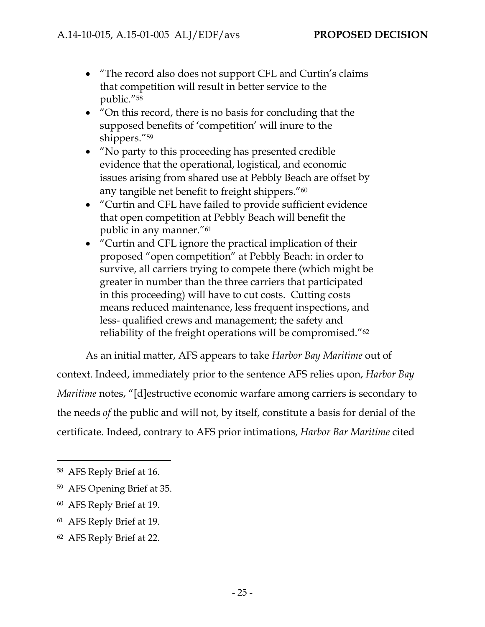- "The record also does not support CFL and Curtin's claims that competition will result in better service to the public."58
- "On this record, there is no basis for concluding that the supposed benefits of 'competition' will inure to the shippers."59
- "No party to this proceeding has presented credible evidence that the operational, logistical, and economic issues arising from shared use at Pebbly Beach are offset by any tangible net benefit to freight shippers."60
- "Curtin and CFL have failed to provide sufficient evidence that open competition at Pebbly Beach will benefit the public in any manner."61
- "Curtin and CFL ignore the practical implication of their proposed "open competition" at Pebbly Beach: in order to survive, all carriers trying to compete there (which might be greater in number than the three carriers that participated in this proceeding) will have to cut costs. Cutting costs means reduced maintenance, less frequent inspections, and less- qualified crews and management; the safety and reliability of the freight operations will be compromised."62

As an initial matter, AFS appears to take *Harbor Bay Maritime* out of context. Indeed, immediately prior to the sentence AFS relies upon, *Harbor Bay Maritime* notes, "[d]estructive economic warfare among carriers is secondary to the needs *of* the public and will not, by itself, constitute a basis for denial of the certificate. Indeed, contrary to AFS prior intimations, *Harbor Bar Maritime* cited

-

- 61 AFS Reply Brief at 19.
- 62 AFS Reply Brief at 22.

<sup>58</sup> AFS Reply Brief at 16.

<sup>59</sup> AFS Opening Brief at 35.

<sup>60</sup> AFS Reply Brief at 19.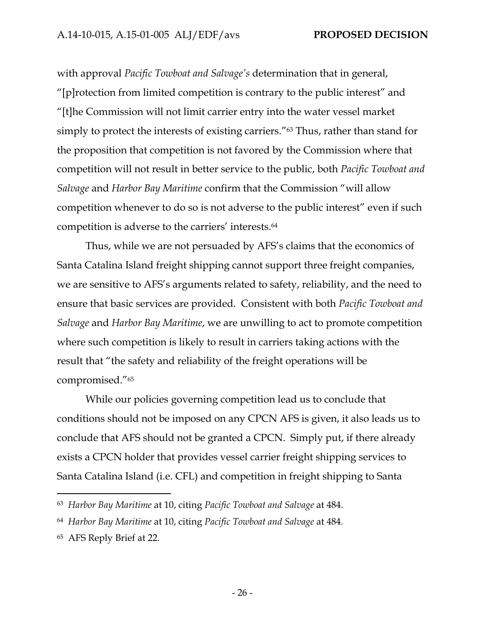with approval *Pacific Towboat and Salvage's* determination that in general, "[p]rotection from limited competition is contrary to the public interest" and "[t]he Commission will not limit carrier entry into the water vessel market simply to protect the interests of existing carriers."63 Thus, rather than stand for the proposition that competition is not favored by the Commission where that competition will not result in better service to the public, both *Pacific Towboat and Salvage* and *Harbor Bay Maritime* confirm that the Commission "will allow competition whenever to do so is not adverse to the public interest" even if such competition is adverse to the carriers' interests.64

Thus, while we are not persuaded by AFS's claims that the economics of Santa Catalina Island freight shipping cannot support three freight companies, we are sensitive to AFS's arguments related to safety, reliability, and the need to ensure that basic services are provided. Consistent with both *Pacific Towboat and Salvage* and *Harbor Bay Maritime*, we are unwilling to act to promote competition where such competition is likely to result in carriers taking actions with the result that "the safety and reliability of the freight operations will be compromised."65

While our policies governing competition lead us to conclude that conditions should not be imposed on any CPCN AFS is given, it also leads us to conclude that AFS should not be granted a CPCN. Simply put, if there already exists a CPCN holder that provides vessel carrier freight shipping services to Santa Catalina Island (i.e. CFL) and competition in freight shipping to Santa

<sup>63</sup> *Harbor Bay Maritime* at 10, citing *Pacific Towboat and Salvage* at 484.

<sup>64</sup> *Harbor Bay Maritime* at 10, citing *Pacific Towboat and Salvage* at 484*.*

<sup>65</sup> AFS Reply Brief at 22.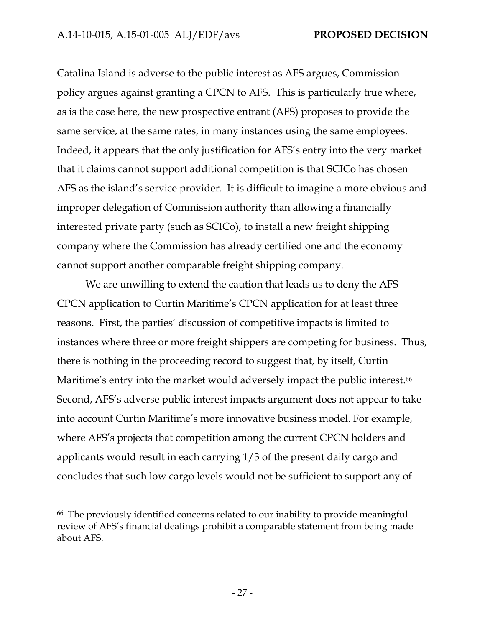Catalina Island is adverse to the public interest as AFS argues, Commission policy argues against granting a CPCN to AFS. This is particularly true where, as is the case here, the new prospective entrant (AFS) proposes to provide the same service, at the same rates, in many instances using the same employees. Indeed, it appears that the only justification for AFS's entry into the very market that it claims cannot support additional competition is that SCICo has chosen AFS as the island's service provider. It is difficult to imagine a more obvious and improper delegation of Commission authority than allowing a financially interested private party (such as SCICo), to install a new freight shipping company where the Commission has already certified one and the economy cannot support another comparable freight shipping company.

We are unwilling to extend the caution that leads us to deny the AFS CPCN application to Curtin Maritime's CPCN application for at least three reasons. First, the parties' discussion of competitive impacts is limited to instances where three or more freight shippers are competing for business. Thus, there is nothing in the proceeding record to suggest that, by itself, Curtin Maritime's entry into the market would adversely impact the public interest.<sup>66</sup> Second, AFS's adverse public interest impacts argument does not appear to take into account Curtin Maritime's more innovative business model. For example, where AFS's projects that competition among the current CPCN holders and applicants would result in each carrying 1/3 of the present daily cargo and concludes that such low cargo levels would not be sufficient to support any of

-

<sup>66</sup> The previously identified concerns related to our inability to provide meaningful review of AFS's financial dealings prohibit a comparable statement from being made about AFS.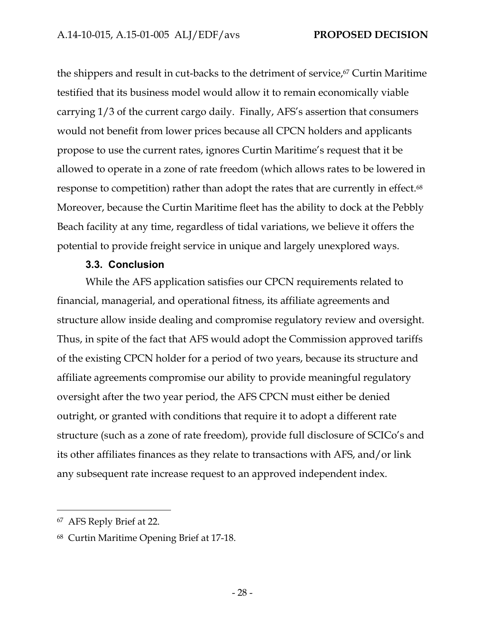the shippers and result in cut-backs to the detriment of service,<sup>67</sup> Curtin Maritime testified that its business model would allow it to remain economically viable carrying 1/3 of the current cargo daily. Finally, AFS's assertion that consumers would not benefit from lower prices because all CPCN holders and applicants propose to use the current rates, ignores Curtin Maritime's request that it be allowed to operate in a zone of rate freedom (which allows rates to be lowered in response to competition) rather than adopt the rates that are currently in effect.<sup>68</sup> Moreover, because the Curtin Maritime fleet has the ability to dock at the Pebbly Beach facility at any time, regardless of tidal variations, we believe it offers the potential to provide freight service in unique and largely unexplored ways.

## **3.3. Conclusion**

While the AFS application satisfies our CPCN requirements related to financial, managerial, and operational fitness, its affiliate agreements and structure allow inside dealing and compromise regulatory review and oversight. Thus, in spite of the fact that AFS would adopt the Commission approved tariffs of the existing CPCN holder for a period of two years, because its structure and affiliate agreements compromise our ability to provide meaningful regulatory oversight after the two year period, the AFS CPCN must either be denied outright, or granted with conditions that require it to adopt a different rate structure (such as a zone of rate freedom), provide full disclosure of SCICo's and its other affiliates finances as they relate to transactions with AFS, and/or link any subsequent rate increase request to an approved independent index.

<sup>67</sup> AFS Reply Brief at 22.

<sup>68</sup> Curtin Maritime Opening Brief at 17-18.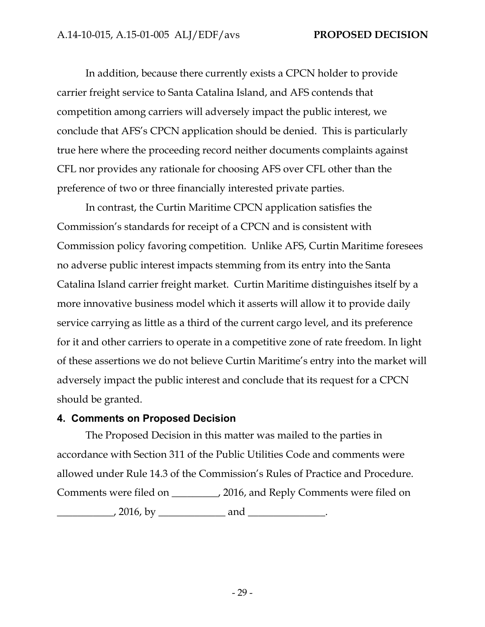In addition, because there currently exists a CPCN holder to provide carrier freight service to Santa Catalina Island, and AFS contends that competition among carriers will adversely impact the public interest, we conclude that AFS's CPCN application should be denied. This is particularly true here where the proceeding record neither documents complaints against CFL nor provides any rationale for choosing AFS over CFL other than the preference of two or three financially interested private parties.

In contrast, the Curtin Maritime CPCN application satisfies the Commission's standards for receipt of a CPCN and is consistent with Commission policy favoring competition. Unlike AFS, Curtin Maritime foresees no adverse public interest impacts stemming from its entry into the Santa Catalina Island carrier freight market. Curtin Maritime distinguishes itself by a more innovative business model which it asserts will allow it to provide daily service carrying as little as a third of the current cargo level, and its preference for it and other carriers to operate in a competitive zone of rate freedom. In light of these assertions we do not believe Curtin Maritime's entry into the market will adversely impact the public interest and conclude that its request for a CPCN should be granted.

#### **4. Comments on Proposed Decision**

The Proposed Decision in this matter was mailed to the parties in accordance with Section 311 of the Public Utilities Code and comments were allowed under Rule 14.3 of the Commission's Rules of Practice and Procedure. Comments were filed on \_\_\_\_\_\_\_\_\_, 2016, and Reply Comments were filed on  $\frac{1}{2016, \text{ by } \_}$  and  $\frac{1}{2016, \frac{1}{201}}$ .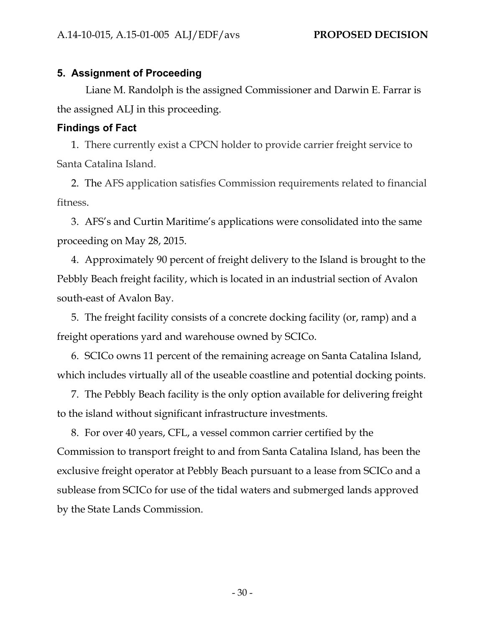## **5. Assignment of Proceeding**

Liane M. Randolph is the assigned Commissioner and Darwin E. Farrar is the assigned ALJ in this proceeding.

## **Findings of Fact**

1. There currently exist a CPCN holder to provide carrier freight service to Santa Catalina Island.

2. The AFS application satisfies Commission requirements related to financial fitness.

3. AFS's and Curtin Maritime's applications were consolidated into the same proceeding on May 28, 2015.

4. Approximately 90 percent of freight delivery to the Island is brought to the Pebbly Beach freight facility, which is located in an industrial section of Avalon south-east of Avalon Bay.

5. The freight facility consists of a concrete docking facility (or, ramp) and a freight operations yard and warehouse owned by SCICo.

6. SCICo owns 11 percent of the remaining acreage on Santa Catalina Island, which includes virtually all of the useable coastline and potential docking points.

7. The Pebbly Beach facility is the only option available for delivering freight to the island without significant infrastructure investments.

8. For over 40 years, CFL, a vessel common carrier certified by the Commission to transport freight to and from Santa Catalina Island, has been the exclusive freight operator at Pebbly Beach pursuant to a lease from SCICo and a sublease from SCICo for use of the tidal waters and submerged lands approved by the State Lands Commission.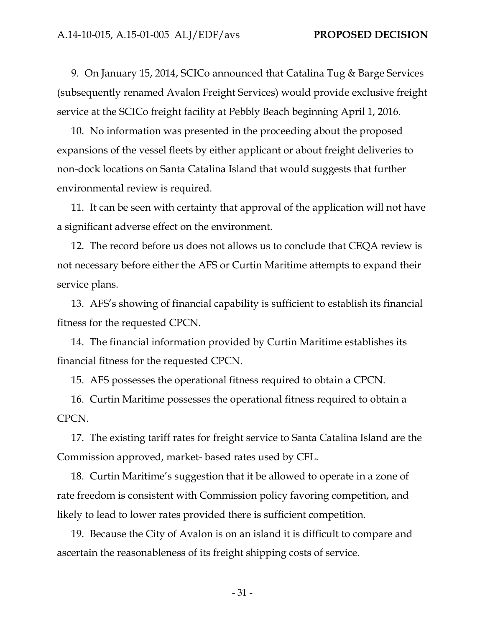9. On January 15, 2014, SCICo announced that Catalina Tug & Barge Services (subsequently renamed Avalon Freight Services) would provide exclusive freight service at the SCICo freight facility at Pebbly Beach beginning April 1, 2016.

10. No information was presented in the proceeding about the proposed expansions of the vessel fleets by either applicant or about freight deliveries to non-dock locations on Santa Catalina Island that would suggests that further environmental review is required.

11. It can be seen with certainty that approval of the application will not have a significant adverse effect on the environment.

12. The record before us does not allows us to conclude that CEQA review is not necessary before either the AFS or Curtin Maritime attempts to expand their service plans.

13. AFS's showing of financial capability is sufficient to establish its financial fitness for the requested CPCN.

14. The financial information provided by Curtin Maritime establishes its financial fitness for the requested CPCN.

15. AFS possesses the operational fitness required to obtain a CPCN.

16. Curtin Maritime possesses the operational fitness required to obtain a CPCN.

17. The existing tariff rates for freight service to Santa Catalina Island are the Commission approved, market- based rates used by CFL.

18. Curtin Maritime's suggestion that it be allowed to operate in a zone of rate freedom is consistent with Commission policy favoring competition, and likely to lead to lower rates provided there is sufficient competition.

19. Because the City of Avalon is on an island it is difficult to compare and ascertain the reasonableness of its freight shipping costs of service.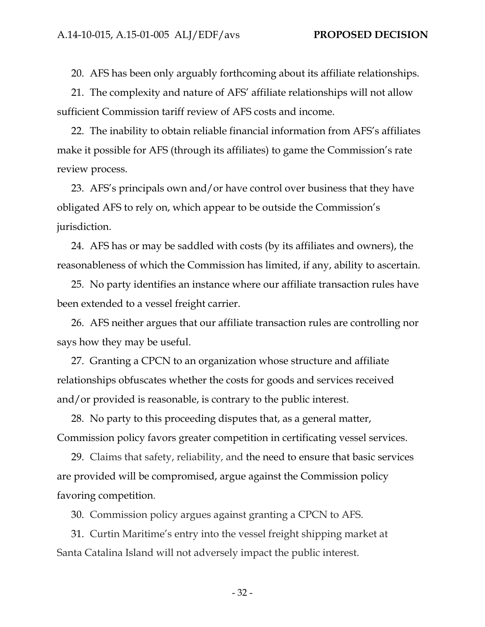20. AFS has been only arguably forthcoming about its affiliate relationships.

21. The complexity and nature of AFS' affiliate relationships will not allow sufficient Commission tariff review of AFS costs and income.

22. The inability to obtain reliable financial information from AFS's affiliates make it possible for AFS (through its affiliates) to game the Commission's rate review process.

23. AFS's principals own and/or have control over business that they have obligated AFS to rely on, which appear to be outside the Commission's jurisdiction.

24. AFS has or may be saddled with costs (by its affiliates and owners), the reasonableness of which the Commission has limited, if any, ability to ascertain.

25. No party identifies an instance where our affiliate transaction rules have been extended to a vessel freight carrier.

26. AFS neither argues that our affiliate transaction rules are controlling nor says how they may be useful.

27. Granting a CPCN to an organization whose structure and affiliate relationships obfuscates whether the costs for goods and services received and/or provided is reasonable, is contrary to the public interest.

28. No party to this proceeding disputes that, as a general matter, Commission policy favors greater competition in certificating vessel services.

29. Claims that safety, reliability, and the need to ensure that basic services are provided will be compromised, argue against the Commission policy favoring competition.

30. Commission policy argues against granting a CPCN to AFS.

31. Curtin Maritime's entry into the vessel freight shipping market at Santa Catalina Island will not adversely impact the public interest.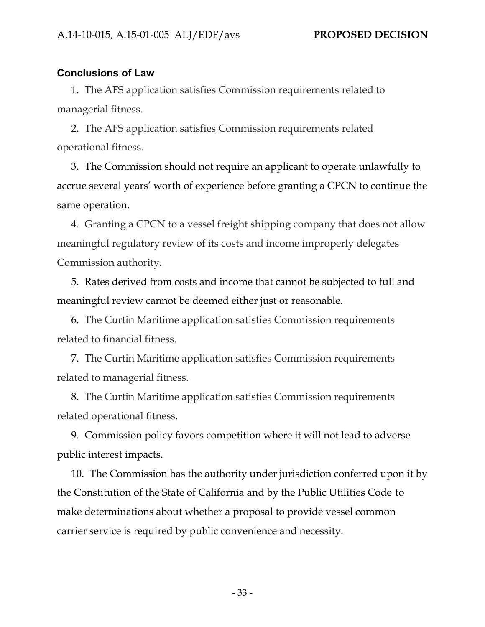#### **Conclusions of Law**

1. The AFS application satisfies Commission requirements related to managerial fitness.

2. The AFS application satisfies Commission requirements related operational fitness.

3. The Commission should not require an applicant to operate unlawfully to accrue several years' worth of experience before granting a CPCN to continue the same operation.

4. Granting a CPCN to a vessel freight shipping company that does not allow meaningful regulatory review of its costs and income improperly delegates Commission authority.

5. Rates derived from costs and income that cannot be subjected to full and meaningful review cannot be deemed either just or reasonable.

6. The Curtin Maritime application satisfies Commission requirements related to financial fitness.

7. The Curtin Maritime application satisfies Commission requirements related to managerial fitness.

8. The Curtin Maritime application satisfies Commission requirements related operational fitness.

9. Commission policy favors competition where it will not lead to adverse public interest impacts.

10. The Commission has the authority under jurisdiction conferred upon it by the Constitution of the State of California and by the Public Utilities Code to make determinations about whether a proposal to provide vessel common carrier service is required by public convenience and necessity.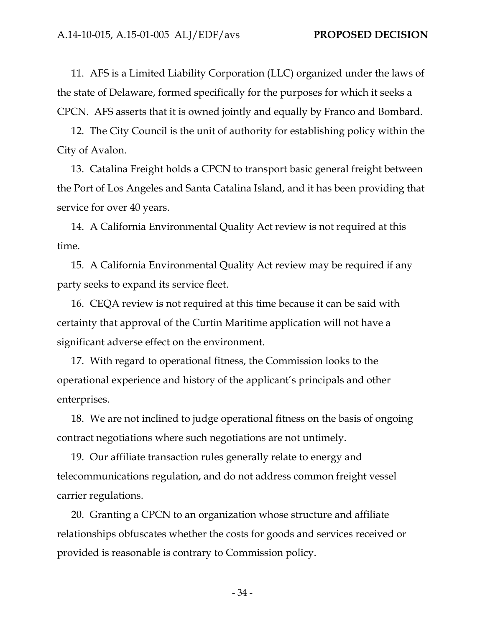11. AFS is a Limited Liability Corporation (LLC) organized under the laws of the state of Delaware, formed specifically for the purposes for which it seeks a CPCN. AFS asserts that it is owned jointly and equally by Franco and Bombard.

12. The City Council is the unit of authority for establishing policy within the City of Avalon.

13. Catalina Freight holds a CPCN to transport basic general freight between the Port of Los Angeles and Santa Catalina Island, and it has been providing that service for over 40 years.

14. A California Environmental Quality Act review is not required at this time.

15. A California Environmental Quality Act review may be required if any party seeks to expand its service fleet.

16. CEQA review is not required at this time because it can be said with certainty that approval of the Curtin Maritime application will not have a significant adverse effect on the environment.

17. With regard to operational fitness, the Commission looks to the operational experience and history of the applicant's principals and other enterprises.

18. We are not inclined to judge operational fitness on the basis of ongoing contract negotiations where such negotiations are not untimely.

19. Our affiliate transaction rules generally relate to energy and telecommunications regulation, and do not address common freight vessel carrier regulations.

20. Granting a CPCN to an organization whose structure and affiliate relationships obfuscates whether the costs for goods and services received or provided is reasonable is contrary to Commission policy.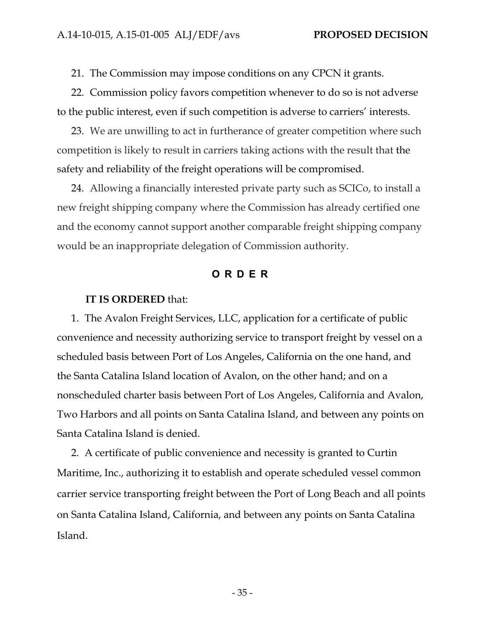21. The Commission may impose conditions on any CPCN it grants.

22. Commission policy favors competition whenever to do so is not adverse to the public interest, even if such competition is adverse to carriers' interests.

23. We are unwilling to act in furtherance of greater competition where such competition is likely to result in carriers taking actions with the result that the safety and reliability of the freight operations will be compromised.

24. Allowing a financially interested private party such as SCICo, to install a new freight shipping company where the Commission has already certified one and the economy cannot support another comparable freight shipping company would be an inappropriate delegation of Commission authority.

#### **ORDER**

#### **IT IS ORDERED** that:

1. The Avalon Freight Services, LLC, application for a certificate of public convenience and necessity authorizing service to transport freight by vessel on a scheduled basis between Port of Los Angeles, California on the one hand, and the Santa Catalina Island location of Avalon, on the other hand; and on a nonscheduled charter basis between Port of Los Angeles, California and Avalon, Two Harbors and all points on Santa Catalina Island, and between any points on Santa Catalina Island is denied.

2. A certificate of public convenience and necessity is granted to Curtin Maritime, Inc., authorizing it to establish and operate scheduled vessel common carrier service transporting freight between the Port of Long Beach and all points on Santa Catalina Island, California, and between any points on Santa Catalina Island.